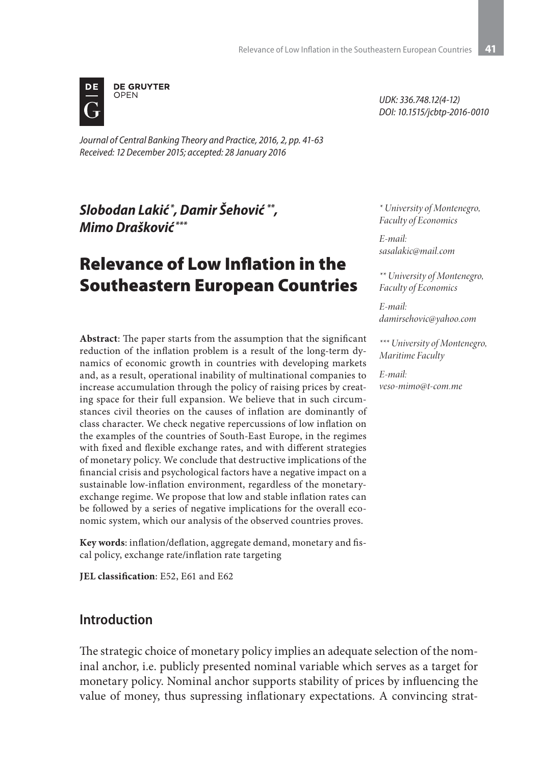

*Journal of Central Banking Theory and Practice, 2016, 2, pp. 41-63 Received: 12 December 2015; accepted: 28 January 2016*

*Slobodan Lakić \*, Damir Šehović \*\*, Mimo Drašković \*\*\**

# Relevance of Low Inflation in the Southeastern European Countries

**Abstract**: The paper starts from the assumption that the significant reduction of the inflation problem is a result of the long-term dynamics of economic growth in countries with developing markets and, as a result, operational inability of multinational companies to increase accumulation through the policy of raising prices by creating space for their full expansion. We believe that in such circumstances civil theories on the causes of inflation are dominantly of class character. We check negative repercussions of low inflation on the examples of the countries of South-East Europe, in the regimes with fixed and flexible exchange rates, and with different strategies of monetary policy. We conclude that destructive implications of the financial crisis and psychological factors have a negative impact on a sustainable low-inflation environment, regardless of the monetaryexchange regime. We propose that low and stable inflation rates can be followed by a series of negative implications for the overall economic system, which our analysis of the observed countries proves.

**Key words**: inflation/deflation, aggregate demand, monetary and fiscal policy, exchange rate/inflation rate targeting

**JEL classification**: E52, E61 and E62

### **Introduction**

The strategic choice of monetary policy implies an adequate selection of the nominal anchor, i.e. publicly presented nominal variable which serves as a target for monetary policy. Nominal anchor supports stability of prices by influencing the value of money, thus supressing inflationary expectations. A convincing strat-

*UDK: 336.748.12(4-12) DOI: 10.1515/jcbtp-2016-0010*

*\* University of Montenegro, Faculty of Economics*

*E-mail: sasalakic@mail.com*

*\*\* University of Montenegro, Faculty of Economics*

*E-mail: damirsehovic@yahoo.com*

*\*\*\* University of Montenegro, Maritime Faculty*

*E-mail: veso-mimo@t-com.me*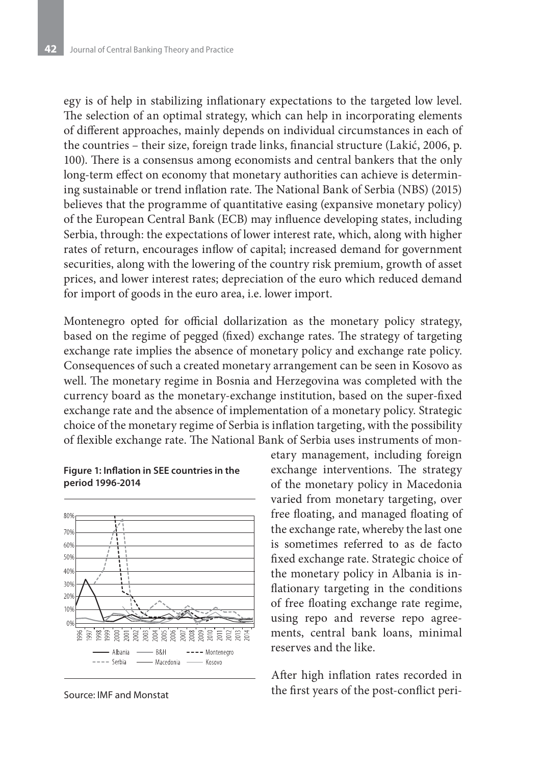egy is of help in stabilizing inflationary expectations to the targeted low level. The selection of an optimal strategy, which can help in incorporating elements of different approaches, mainly depends on individual circumstances in each of the countries – their size, foreign trade links, financial structure (Lakić, 2006, p. 100). There is a consensus among economists and central bankers that the only long-term effect on economy that monetary authorities can achieve is determining sustainable or trend inflation rate. The National Bank of Serbia (NBS) (2015) believes that the programme of quantitative easing (expansive monetary policy) of the European Central Bank (ECB) may influence developing states, including Serbia, through: the expectations of lower interest rate, which, along with higher rates of return, encourages inflow of capital; increased demand for government securities, along with the lowering of the country risk premium, growth of asset prices, and lower interest rates; depreciation of the euro which reduced demand for import of goods in the euro area, i.e. lower import.

Montenegro opted for official dollarization as the monetary policy strategy, based on the regime of pegged (fixed) exchange rates. The strategy of targeting exchange rate implies the absence of monetary policy and exchange rate policy. Consequences of such a created monetary arrangement can be seen in Kosovo as well. The monetary regime in Bosnia and Herzegovina was completed with the currency board as the monetary-exchange institution, based on the super-fixed exchange rate and the absence of implementation of a monetary policy. Strategic choice of the monetary regime of Serbia is inflation targeting, with the possibility of flexible exchange rate. The National Bank of Serbia uses instruments of mon-



### **Figure 1: Inflation in SEE countries in the period 1996-2014**

Source: IMF and Monstat

etary management, including foreign exchange interventions. The strategy of the monetary policy in Macedonia varied from monetary targeting, over free floating, and managed floating of the exchange rate, whereby the last one is sometimes referred to as de facto fixed exchange rate. Strategic choice of the monetary policy in Albania is inflationary targeting in the conditions of free floating exchange rate regime, using repo and reverse repo agreements, central bank loans, minimal reserves and the like.

After high inflation rates recorded in the first years of the post-conflict peri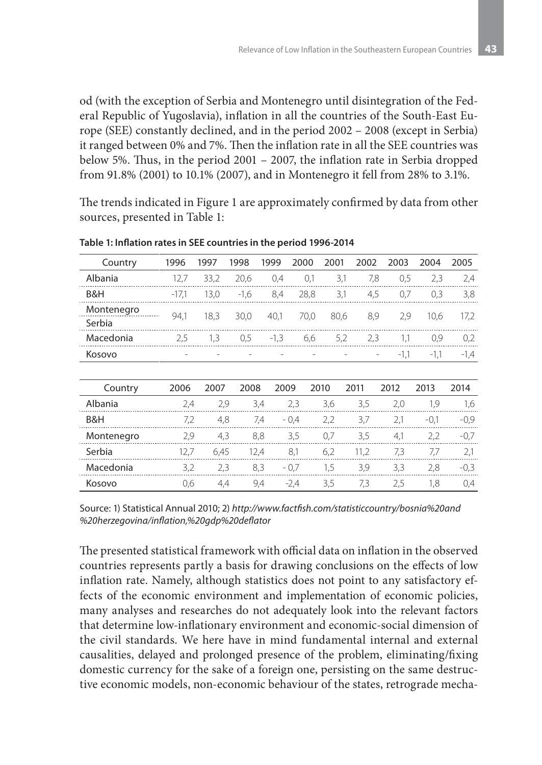od (with the exception of Serbia and Montenegro until disintegration of the Federal Republic of Yugoslavia), inflation in all the countries of the South-East Europe (SEE) constantly declined, and in the period 2002 – 2008 (except in Serbia) it ranged between 0% and 7%. Then the inflation rate in all the SEE countries was below 5%. Thus, in the period 2001 – 2007, the inflation rate in Serbia dropped from 91.8% (2001) to 10.1% (2007), and in Montenegro it fell from 28% to 3.1%.

The trends indicated in Figure 1 are approximately confirmed by data from other sources, presented in Table 1:

| Country    | 1996    | 1997 | 1998   | 1999   | 2000   | 2001                | 2002 | 2003   | 2004   | 2005   |
|------------|---------|------|--------|--------|--------|---------------------|------|--------|--------|--------|
| Albania    | 12,7    | 33,2 | 20,6   | 0,4    | 0,1    | 3,1                 | 7,8  | 0,5    | 2,3    | 2,4    |
| B&H        | $-17,1$ | 13,0 | $-1,6$ | 8,4    | 28,8   | 3,1                 | 4,5  | 0,7    | 0,3    | 3,8    |
| Montenegro | 94,1    | 18,3 | 30,0   | 40.1   |        | 70,0<br>80,6<br>8,9 |      | 2,9    | 10.6   | 17,2   |
| Serbia     |         |      |        |        |        |                     |      |        |        |        |
| Macedonia  | 2,5     | 1,3  | 0,5    | $-1,3$ | 6,6    | 5,2                 | 2,3  | 1,1    | 0,9    | 0,2    |
| Kosovo     |         |      |        |        |        |                     |      | $-1,1$ | $-1,1$ | $-1,4$ |
|            |         |      |        |        |        |                     |      |        |        |        |
| Country    | 2006    | 2007 | 2008   | 2009   |        | 2010                | 2011 | 2012   | 2013   | 2014   |
| Albania    | 2,4     | 2,9  |        | 3,4    | 2,3    | 3,6                 | 3,5  | 2,0    | 1,9    | 1,6    |
| B&H        | 7,2     | 4,8  |        | 7,4    | $-0.4$ | 2,2                 | 3,7  | 2,1    | $-0,1$ | $-0.9$ |
| Montenegro | 2,9     | 4,3  |        | 8,8    | 3,5    | 0,7                 | 3,5  | 4,1    | 2,2    | $-0.7$ |
| Serbia     | 12,7    | 6,45 |        | 12,4   | 8,1    | 6,2                 | 11,2 | 7,3    | 7,7    | 2,1    |
| Macedonia  | 3,2     | 2,3  |        | 8,3    | $-0.7$ | 1,5                 | 3,9  | 3,3    | 2,8    | $-0,3$ |
| Kosovo     | 0.6     | 4,4  |        | 9,4    | $-2,4$ | 3,5                 | 7,3  | 2,5    | 1,8    | 0,4    |

**Table 1: Inflation rates in SEE countries in the period 1996-2014**

Source: 1) Statistical Annual 2010; 2) *http://www.factfish.com/statisticcountry/bosnia%20and %20herzegovina/inflation,%20gdp%20deflator* 

The presented statistical framework with official data on inflation in the observed countries represents partly a basis for drawing conclusions on the effects of low inflation rate. Namely, although statistics does not point to any satisfactory effects of the economic environment and implementation of economic policies, many analyses and researches do not adequately look into the relevant factors that determine low-inflationary environment and economic-social dimension of the civil standards. We here have in mind fundamental internal and external causalities, delayed and prolonged presence of the problem, eliminating/fixing domestic currency for the sake of a foreign one, persisting on the same destructive economic models, non-economic behaviour of the states, retrograde mecha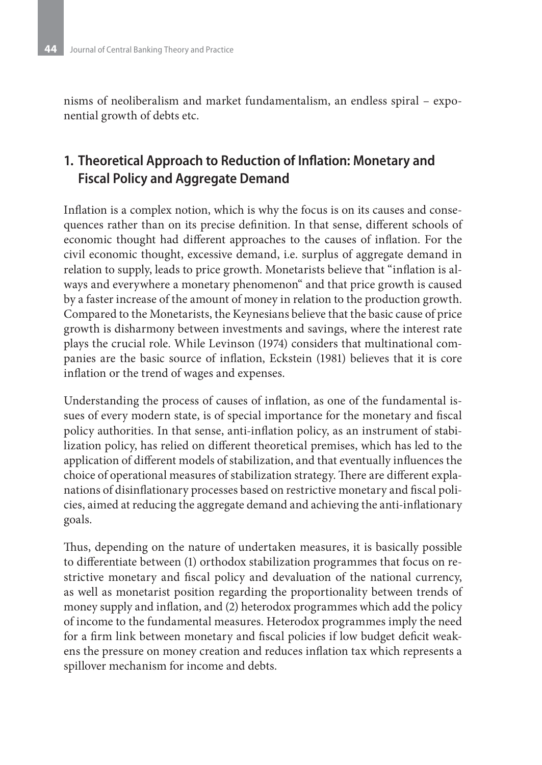nisms of neoliberalism and market fundamentalism, an endless spiral – exponential growth of debts etc.

## **1. Theoretical Approach to Reduction of Inflation: Monetary and Fiscal Policy and Aggregate Demand**

Inflation is a complex notion, which is why the focus is on its causes and consequences rather than on its precise definition. In that sense, different schools of economic thought had different approaches to the causes of inflation. For the civil economic thought, excessive demand, i.e. surplus of aggregate demand in relation to supply, leads to price growth. Monetarists believe that "inflation is always and everywhere a monetary phenomenon" and that price growth is caused by a faster increase of the amount of money in relation to the production growth. Compared to the Monetarists, the Keynesians believe that the basic cause of price growth is disharmony between investments and savings, where the interest rate plays the crucial role. While Levinson (1974) considers that multinational companies are the basic source of inflation, Eckstein (1981) believes that it is core inflation or the trend of wages and expenses.

Understanding the process of causes of inflation, as one of the fundamental issues of every modern state, is of special importance for the monetary and fiscal policy authorities. In that sense, anti-inflation policy, as an instrument of stabilization policy, has relied on different theoretical premises, which has led to the application of different models of stabilization, and that eventually influences the choice of operational measures of stabilization strategy. There are different explanations of disinflationary processes based on restrictive monetary and fiscal policies, aimed at reducing the aggregate demand and achieving the anti-inflationary goals.

Thus, depending on the nature of undertaken measures, it is basically possible to differentiate between (1) orthodox stabilization programmes that focus on restrictive monetary and fiscal policy and devaluation of the national currency, as well as monetarist position regarding the proportionality between trends of money supply and inflation, and (2) heterodox programmes which add the policy of income to the fundamental measures. Heterodox programmes imply the need for a firm link between monetary and fiscal policies if low budget deficit weakens the pressure on money creation and reduces inflation tax which represents a spillover mechanism for income and debts.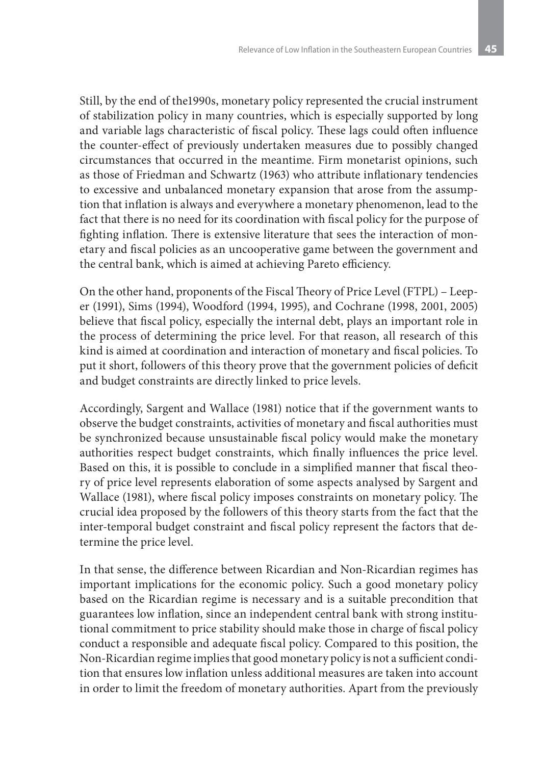Still, by the end of the1990s, monetary policy represented the crucial instrument of stabilization policy in many countries, which is especially supported by long and variable lags characteristic of fiscal policy. These lags could often influence the counter-effect of previously undertaken measures due to possibly changed circumstances that occurred in the meantime. Firm monetarist opinions, such as those of Friedman and Schwartz (1963) who attribute inflationary tendencies to excessive and unbalanced monetary expansion that arose from the assumption that inflation is always and everywhere a monetary phenomenon, lead to the fact that there is no need for its coordination with fiscal policy for the purpose of fighting inflation. There is extensive literature that sees the interaction of monetary and fiscal policies as an uncooperative game between the government and the central bank, which is aimed at achieving Pareto efficiency.

On the other hand, proponents of the Fiscal Theory of Price Level (FTPL) – Leeper (1991), Sims (1994), Woodford (1994, 1995), and Cochrane (1998, 2001, 2005) believe that fiscal policy, especially the internal debt, plays an important role in the process of determining the price level. For that reason, all research of this kind is aimed at coordination and interaction of monetary and fiscal policies. To put it short, followers of this theory prove that the government policies of deficit and budget constraints are directly linked to price levels.

Accordingly, Sargent and Wallace (1981) notice that if the government wants to observe the budget constraints, activities of monetary and fiscal authorities must be synchronized because unsustainable fiscal policy would make the monetary authorities respect budget constraints, which finally influences the price level. Based on this, it is possible to conclude in a simplified manner that fiscal theory of price level represents elaboration of some aspects analysed by Sargent and Wallace (1981), where fiscal policy imposes constraints on monetary policy. The crucial idea proposed by the followers of this theory starts from the fact that the inter-temporal budget constraint and fiscal policy represent the factors that determine the price level.

In that sense, the difference between Ricardian and Non-Ricardian regimes has important implications for the economic policy. Such a good monetary policy based on the Ricardian regime is necessary and is a suitable precondition that guarantees low inflation, since an independent central bank with strong institutional commitment to price stability should make those in charge of fiscal policy conduct a responsible and adequate fiscal policy. Compared to this position, the Non-Ricardian regime implies that good monetary policy is not a sufficient condition that ensures low inflation unless additional measures are taken into account in order to limit the freedom of monetary authorities. Apart from the previously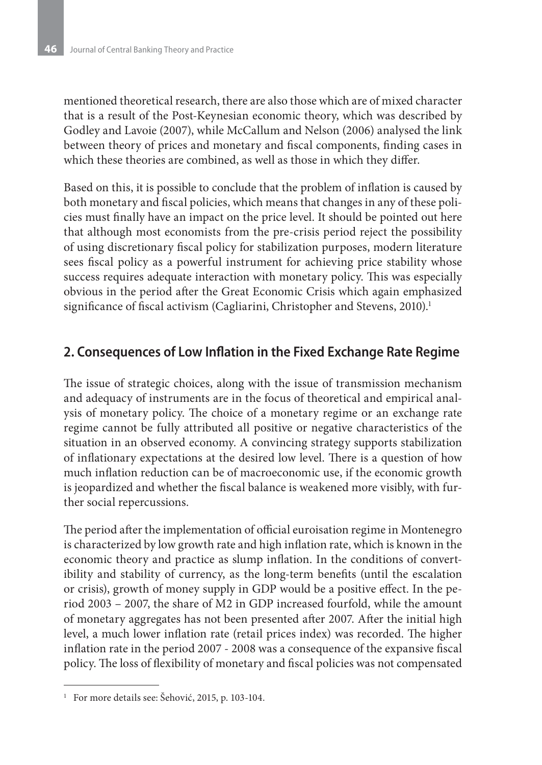mentioned theoretical research, there are also those which are of mixed character that is a result of the Post-Keynesian economic theory, which was described by Godley and Lavoie (2007), while McCallum and Nelson (2006) analysed the link between theory of prices and monetary and fiscal components, finding cases in which these theories are combined, as well as those in which they differ.

Based on this, it is possible to conclude that the problem of inflation is caused by both monetary and fiscal policies, which means that changes in any of these policies must finally have an impact on the price level. It should be pointed out here that although most economists from the pre-crisis period reject the possibility of using discretionary fiscal policy for stabilization purposes, modern literature sees fiscal policy as a powerful instrument for achieving price stability whose success requires adequate interaction with monetary policy. This was especially obvious in the period after the Great Economic Crisis which again emphasized significance of fiscal activism (Cagliarini, Christopher and Stevens, 2010).<sup>1</sup>

### **2. Consequences of Low Inflation in the Fixed Exchange Rate Regime**

The issue of strategic choices, along with the issue of transmission mechanism and adequacy of instruments are in the focus of theoretical and empirical analysis of monetary policy. The choice of a monetary regime or an exchange rate regime cannot be fully attributed all positive or negative characteristics of the situation in an observed economy. A convincing strategy supports stabilization of inflationary expectations at the desired low level. There is a question of how much inflation reduction can be of macroeconomic use, if the economic growth is jeopardized and whether the fiscal balance is weakened more visibly, with further social repercussions.

The period after the implementation of official euroisation regime in Montenegro is characterized by low growth rate and high inflation rate, which is known in the economic theory and practice as slump inflation. In the conditions of convertibility and stability of currency, as the long-term benefits (until the escalation or crisis), growth of money supply in GDP would be a positive effect. In the period 2003 – 2007, the share of M2 in GDP increased fourfold, while the amount of monetary aggregates has not been presented after 2007. After the initial high level, a much lower inflation rate (retail prices index) was recorded. The higher inflation rate in the period 2007 - 2008 was a consequence of the expansive fiscal policy. The loss of flexibility of monetary and fiscal policies was not compensated

<sup>&</sup>lt;sup>1</sup> For more details see: Šehović, 2015, p. 103-104.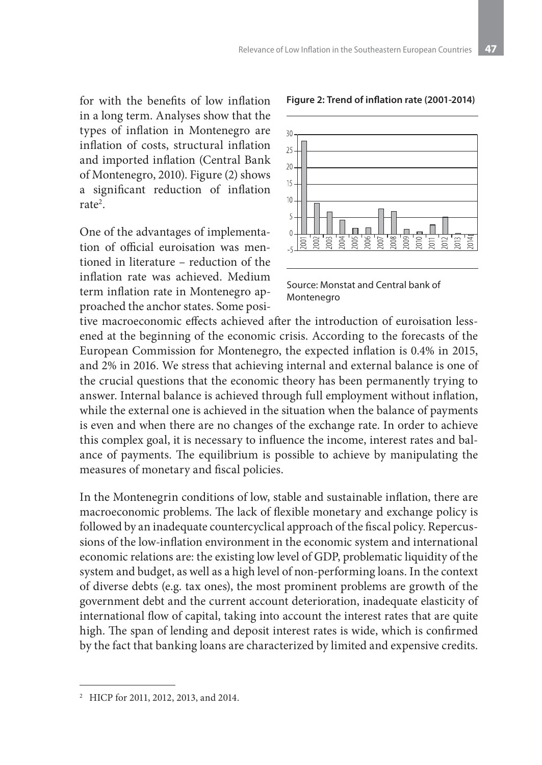for with the benefits of low inflation in a long term. Analyses show that the types of inflation in Montenegro are inflation of costs, structural inflation and imported inflation (Central Bank of Montenegro, 2010). Figure (2) shows a significant reduction of inflation rate<sup>2</sup>.

One of the advantages of implementation of official euroisation was mentioned in literature – reduction of the inflation rate was achieved. Medium term inflation rate in Montenegro approached the anchor states. Some posi-



#### **Figure 2: Trend of inflation rate (2001-2014)**

Source: Monstat and Central bank of Montenegro

tive macroeconomic effects achieved after the introduction of euroisation lessened at the beginning of the economic crisis. According to the forecasts of the European Commission for Montenegro, the expected inflation is 0.4% in 2015, and 2% in 2016. We stress that achieving internal and external balance is one of the crucial questions that the economic theory has been permanently trying to answer. Internal balance is achieved through full employment without inflation, while the external one is achieved in the situation when the balance of payments is even and when there are no changes of the exchange rate. In order to achieve this complex goal, it is necessary to influence the income, interest rates and balance of payments. The equilibrium is possible to achieve by manipulating the measures of monetary and fiscal policies.

In the Montenegrin conditions of low, stable and sustainable inflation, there are macroeconomic problems. The lack of flexible monetary and exchange policy is followed by an inadequate countercyclical approach of the fiscal policy. Repercussions of the low-inflation environment in the economic system and international economic relations are: the existing low level of GDP, problematic liquidity of the system and budget, as well as a high level of non-performing loans. In the context of diverse debts (e.g. tax ones), the most prominent problems are growth of the government debt and the current account deterioration, inadequate elasticity of international flow of capital, taking into account the interest rates that are quite high. The span of lending and deposit interest rates is wide, which is confirmed by the fact that banking loans are characterized by limited and expensive credits.

<sup>&</sup>lt;sup>2</sup> HICP for 2011, 2012, 2013, and 2014.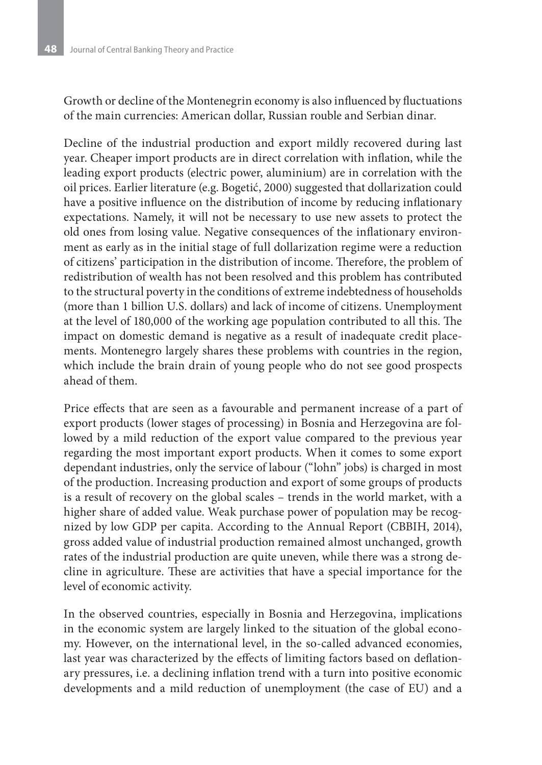Growth or decline of the Montenegrin economy is also influenced by fluctuations of the main currencies: American dollar, Russian rouble and Serbian dinar.

Decline of the industrial production and export mildly recovered during last year. Cheaper import products are in direct correlation with inflation, while the leading export products (electric power, aluminium) are in correlation with the oil prices. Earlier literature (e.g. Bogetić, 2000) suggested that dollarization could have a positive influence on the distribution of income by reducing inflationary expectations. Namely, it will not be necessary to use new assets to protect the old ones from losing value. Negative consequences of the inflationary environment as early as in the initial stage of full dollarization regime were a reduction of citizens' participation in the distribution of income. Therefore, the problem of redistribution of wealth has not been resolved and this problem has contributed to the structural poverty in the conditions of extreme indebtedness of households (more than 1 billion U.S. dollars) and lack of income of citizens. Unemployment at the level of 180,000 of the working age population contributed to all this. The impact on domestic demand is negative as a result of inadequate credit placements. Montenegro largely shares these problems with countries in the region, which include the brain drain of young people who do not see good prospects ahead of them.

Price effects that are seen as a favourable and permanent increase of a part of export products (lower stages of processing) in Bosnia and Herzegovina are followed by a mild reduction of the export value compared to the previous year regarding the most important export products. When it comes to some export dependant industries, only the service of labour ("lohn" jobs) is charged in most of the production. Increasing production and export of some groups of products is a result of recovery on the global scales – trends in the world market, with a higher share of added value. Weak purchase power of population may be recognized by low GDP per capita. According to the Annual Report (CBBIH, 2014), gross added value of industrial production remained almost unchanged, growth rates of the industrial production are quite uneven, while there was a strong decline in agriculture. These are activities that have a special importance for the level of economic activity.

In the observed countries, especially in Bosnia and Herzegovina, implications in the economic system are largely linked to the situation of the global economy. However, on the international level, in the so-called advanced economies, last year was characterized by the effects of limiting factors based on deflationary pressures, i.e. a declining inflation trend with a turn into positive economic developments and a mild reduction of unemployment (the case of EU) and a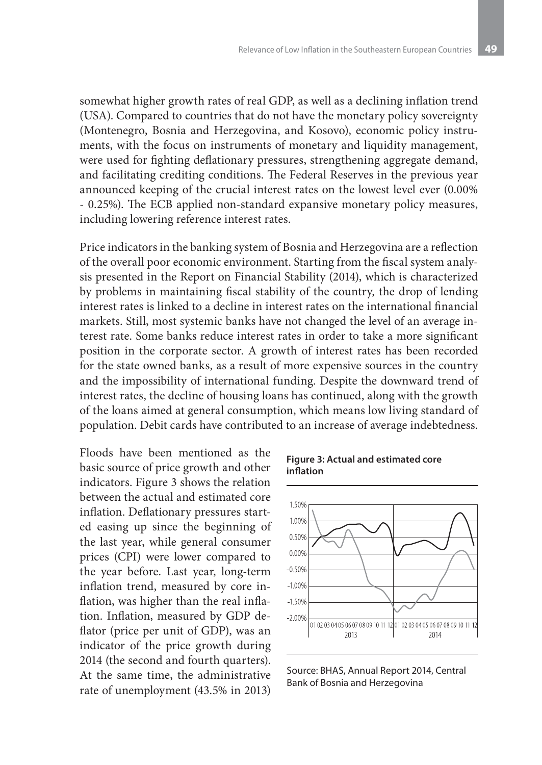somewhat higher growth rates of real GDP, as well as a declining inflation trend (USA). Compared to countries that do not have the monetary policy sovereignty (Montenegro, Bosnia and Herzegovina, and Kosovo), economic policy instruments, with the focus on instruments of monetary and liquidity management, were used for fighting deflationary pressures, strengthening aggregate demand, and facilitating crediting conditions. The Federal Reserves in the previous year announced keeping of the crucial interest rates on the lowest level ever (0.00% - 0.25%). The ECB applied non-standard expansive monetary policy measures, including lowering reference interest rates.

Price indicators in the banking system of Bosnia and Herzegovina are a reflection of the overall poor economic environment. Starting from the fiscal system analysis presented in the Report on Financial Stability (2014), which is characterized by problems in maintaining fiscal stability of the country, the drop of lending interest rates is linked to a decline in interest rates on the international financial markets. Still, most systemic banks have not changed the level of an average interest rate. Some banks reduce interest rates in order to take a more significant position in the corporate sector. A growth of interest rates has been recorded for the state owned banks, as a result of more expensive sources in the country and the impossibility of international funding. Despite the downward trend of interest rates, the decline of housing loans has continued, along with the growth of the loans aimed at general consumption, which means low living standard of population. Debit cards have contributed to an increase of average indebtedness.

Floods have been mentioned as the basic source of price growth and other indicators. Figure 3 shows the relation between the actual and estimated core inflation. Deflationary pressures started easing up since the beginning of the last year, while general consumer prices (CPI) were lower compared to the year before. Last year, long-term inflation trend, measured by core inflation, was higher than the real inflation. Inflation, measured by GDP deflator (price per unit of GDP), was an indicator of the price growth during 2014 (the second and fourth quarters). At the same time, the administrative rate of unemployment (43.5% in 2013)

**Figure 3: Actual and estimated core inflation**



Source: BHAS, Annual Report 2014, Central Bank of Bosnia and Herzegovina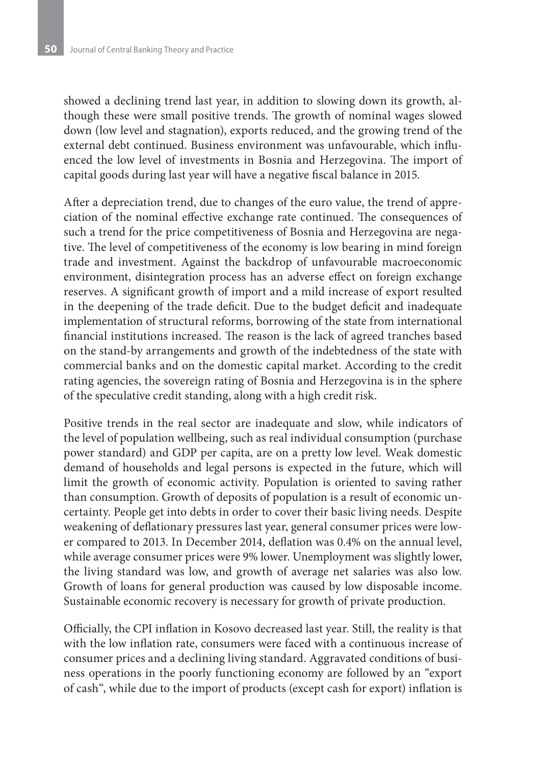showed a declining trend last year, in addition to slowing down its growth, although these were small positive trends. The growth of nominal wages slowed down (low level and stagnation), exports reduced, and the growing trend of the external debt continued. Business environment was unfavourable, which influenced the low level of investments in Bosnia and Herzegovina. The import of capital goods during last year will have a negative fiscal balance in 2015.

After a depreciation trend, due to changes of the euro value, the trend of appreciation of the nominal effective exchange rate continued. The consequences of such a trend for the price competitiveness of Bosnia and Herzegovina are negative. The level of competitiveness of the economy is low bearing in mind foreign trade and investment. Against the backdrop of unfavourable macroeconomic environment, disintegration process has an adverse effect on foreign exchange reserves. A significant growth of import and a mild increase of export resulted in the deepening of the trade deficit. Due to the budget deficit and inadequate implementation of structural reforms, borrowing of the state from international financial institutions increased. The reason is the lack of agreed tranches based on the stand-by arrangements and growth of the indebtedness of the state with commercial banks and on the domestic capital market. According to the credit rating agencies, the sovereign rating of Bosnia and Herzegovina is in the sphere of the speculative credit standing, along with a high credit risk.

Positive trends in the real sector are inadequate and slow, while indicators of the level of population wellbeing, such as real individual consumption (purchase power standard) and GDP per capita, are on a pretty low level. Weak domestic demand of households and legal persons is expected in the future, which will limit the growth of economic activity. Population is oriented to saving rather than consumption. Growth of deposits of population is a result of economic uncertainty. People get into debts in order to cover their basic living needs. Despite weakening of deflationary pressures last year, general consumer prices were lower compared to 2013. In December 2014, deflation was 0.4% on the annual level, while average consumer prices were 9% lower. Unemployment was slightly lower, the living standard was low, and growth of average net salaries was also low. Growth of loans for general production was caused by low disposable income. Sustainable economic recovery is necessary for growth of private production.

Officially, the CPI inflation in Kosovo decreased last year. Still, the reality is that with the low inflation rate, consumers were faced with a continuous increase of consumer prices and a declining living standard. Aggravated conditions of business operations in the poorly functioning economy are followed by an "export of cash", while due to the import of products (except cash for export) inflation is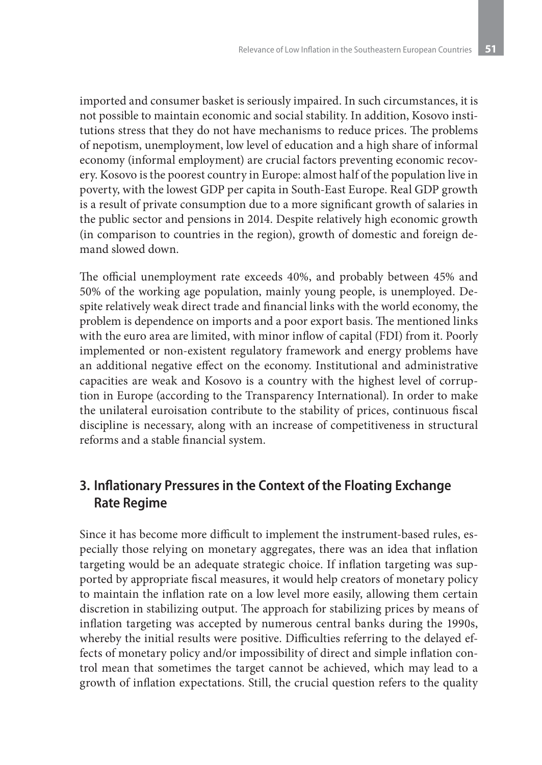imported and consumer basket is seriously impaired. In such circumstances, it is not possible to maintain economic and social stability. In addition, Kosovo institutions stress that they do not have mechanisms to reduce prices. The problems of nepotism, unemployment, low level of education and a high share of informal economy (informal employment) are crucial factors preventing economic recovery. Kosovo is the poorest country in Europe: almost half of the population live in poverty, with the lowest GDP per capita in South-East Europe. Real GDP growth is a result of private consumption due to a more significant growth of salaries in the public sector and pensions in 2014. Despite relatively high economic growth (in comparison to countries in the region), growth of domestic and foreign demand slowed down.

The official unemployment rate exceeds 40%, and probably between 45% and 50% of the working age population, mainly young people, is unemployed. Despite relatively weak direct trade and financial links with the world economy, the problem is dependence on imports and a poor export basis. The mentioned links with the euro area are limited, with minor inflow of capital (FDI) from it. Poorly implemented or non-existent regulatory framework and energy problems have an additional negative effect on the economy. Institutional and administrative capacities are weak and Kosovo is a country with the highest level of corruption in Europe (according to the Transparency International). In order to make the unilateral euroisation contribute to the stability of prices, continuous fiscal discipline is necessary, along with an increase of competitiveness in structural reforms and a stable financial system.

### **3. Inflationary Pressures in the Context of the Floating Exchange Rate Regime**

Since it has become more difficult to implement the instrument-based rules, especially those relying on monetary aggregates, there was an idea that inflation targeting would be an adequate strategic choice. If inflation targeting was supported by appropriate fiscal measures, it would help creators of monetary policy to maintain the inflation rate on a low level more easily, allowing them certain discretion in stabilizing output. The approach for stabilizing prices by means of inflation targeting was accepted by numerous central banks during the 1990s, whereby the initial results were positive. Difficulties referring to the delayed effects of monetary policy and/or impossibility of direct and simple inflation control mean that sometimes the target cannot be achieved, which may lead to a growth of inflation expectations. Still, the crucial question refers to the quality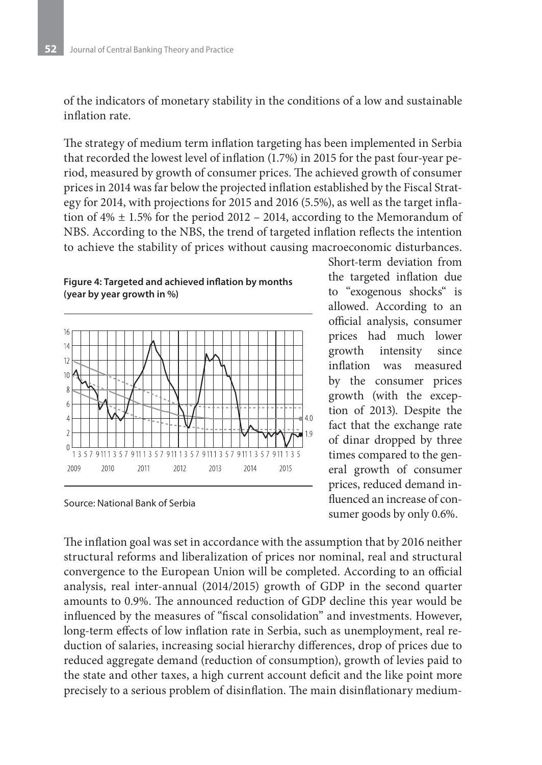of the indicators of monetary stability in the conditions of a low and sustainable inflation rate.

The strategy of medium term inflation targeting has been implemented in Serbia that recorded the lowest level of inflation (1.7%) in 2015 for the past four-year period, measured by growth of consumer prices. The achieved growth of consumer prices in 2014 was far below the projected inflation established by the Fiscal Strategy for 2014, with projections for 2015 and 2016 (5.5%), as well as the target inflation of  $4\% \pm 1.5\%$  for the period 2012 – 2014, according to the Memorandum of NBS. According to the NBS, the trend of targeted inflation reflects the intention to achieve the stability of prices without causing macroeconomic disturbances.

### **Figure 4: Targeted and achieved inflation by months (year by year growth in %)**



Source: National Bank of Serbia

Short-term deviation from the targeted inflation due to "exogenous shocks" is allowed. According to an official analysis, consumer prices had much lower growth intensity since inflation was measured by the consumer prices growth (with the exception of 2013). Despite the fact that the exchange rate of dinar dropped by three times compared to the general growth of consumer prices, reduced demand influenced an increase of consumer goods by only 0.6%.

The inflation goal was set in accordance with the assumption that by 2016 neither structural reforms and liberalization of prices nor nominal, real and structural convergence to the European Union will be completed. According to an official analysis, real inter-annual (2014/2015) growth of GDP in the second quarter amounts to 0.9%. The announced reduction of GDP decline this year would be influenced by the measures of "fiscal consolidation" and investments. However, long-term effects of low inflation rate in Serbia, such as unemployment, real reduction of salaries, increasing social hierarchy differences, drop of prices due to reduced aggregate demand (reduction of consumption), growth of levies paid to the state and other taxes, a high current account deficit and the like point more precisely to a serious problem of disinflation. The main disinflationary medium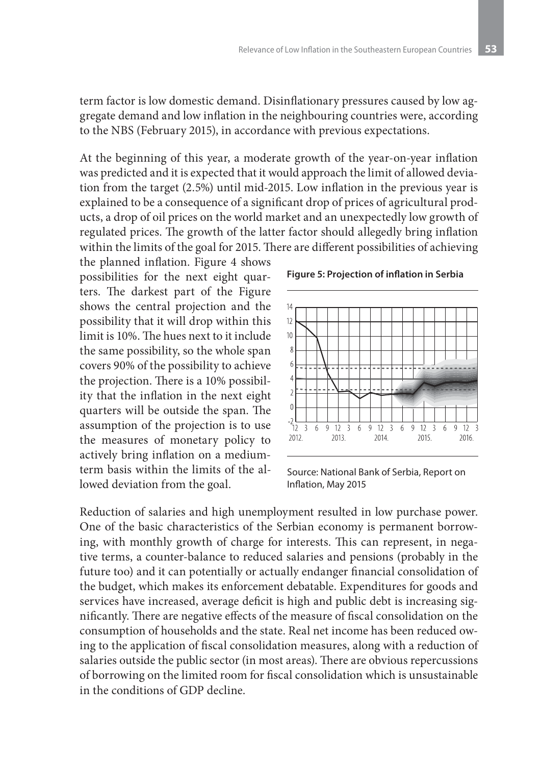term factor is low domestic demand. Disinflationary pressures caused by low aggregate demand and low inflation in the neighbouring countries were, according to the NBS (February 2015), in accordance with previous expectations.

At the beginning of this year, a moderate growth of the year-on-year inflation was predicted and it is expected that it would approach the limit of allowed deviation from the target (2.5%) until mid-2015. Low inflation in the previous year is explained to be a consequence of a significant drop of prices of agricultural products, a drop of oil prices on the world market and an unexpectedly low growth of regulated prices. The growth of the latter factor should allegedly bring inflation within the limits of the goal for 2015. There are different possibilities of achieving

the planned inflation. Figure 4 shows possibilities for the next eight quarters. The darkest part of the Figure shows the central projection and the possibility that it will drop within this limit is 10%. The hues next to it include the same possibility, so the whole span covers 90% of the possibility to achieve the projection. There is a 10% possibility that the inflation in the next eight quarters will be outside the span. The assumption of the projection is to use the measures of monetary policy to actively bring inflation on a mediumterm basis within the limits of the allowed deviation from the goal.



#### **Figure 5: Projection of inflation in Serbia**

Source: National Bank of Serbia, Report on Inflation, May 2015

Reduction of salaries and high unemployment resulted in low purchase power. One of the basic characteristics of the Serbian economy is permanent borrowing, with monthly growth of charge for interests. This can represent, in negative terms, a counter-balance to reduced salaries and pensions (probably in the future too) and it can potentially or actually endanger financial consolidation of the budget, which makes its enforcement debatable. Expenditures for goods and services have increased, average deficit is high and public debt is increasing significantly. There are negative effects of the measure of fiscal consolidation on the consumption of households and the state. Real net income has been reduced owing to the application of fiscal consolidation measures, along with a reduction of salaries outside the public sector (in most areas). There are obvious repercussions of borrowing on the limited room for fiscal consolidation which is unsustainable in the conditions of GDP decline.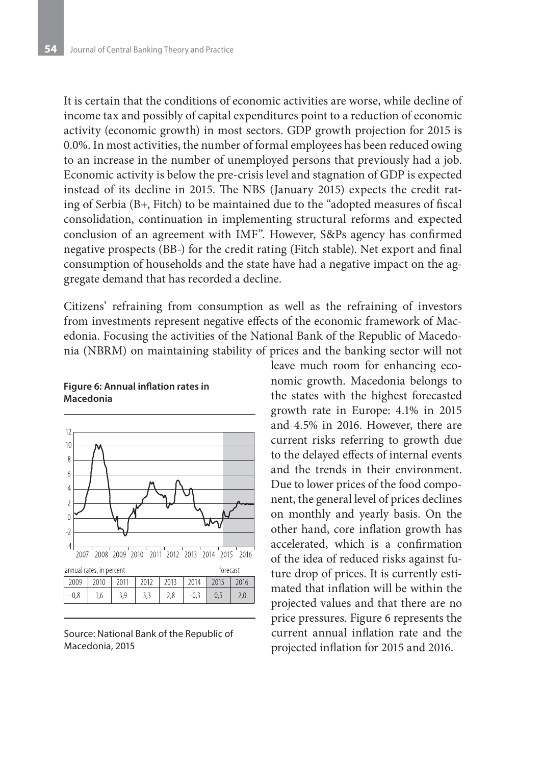It is certain that the conditions of economic activities are worse, while decline of income tax and possibly of capital expenditures point to a reduction of economic activity (economic growth) in most sectors. GDP growth projection for 2015 is 0.0%. In most activities, the number of formal employees has been reduced owing to an increase in the number of unemployed persons that previously had a job. Economic activity is below the pre-crisis level and stagnation of GDP is expected instead of its decline in 2015. The NBS (January 2015) expects the credit rating of Serbia (B+, Fitch) to be maintained due to the "adopted measures of fiscal consolidation, continuation in implementing structural reforms and expected conclusion of an agreement with IMF". However, S&Ps agency has confirmed negative prospects (BB-) for the credit rating (Fitch stable). Net export and final consumption of households and the state have had a negative impact on the aggregate demand that has recorded a decline.

Citizens' refraining from consumption as well as the refraining of investors from investments represent negative effects of the economic framework of Macedonia. Focusing the activities of the National Bank of the Republic of Macedonia (NBRM) on maintaining stability of prices and the banking sector will not



#### **Figure 6: Annual inflation rates in Macedonia**

Source: National Bank of the Republic of Macedonia, 2015

leave much room for enhancing economic growth. Macedonia belongs to the states with the highest forecasted growth rate in Europe: 4.1% in 2015 and 4.5% in 2016. However, there are current risks referring to growth due to the delayed effects of internal events and the trends in their environment. Due to lower prices of the food component, the general level of prices declines on monthly and yearly basis. On the other hand, core inflation growth has accelerated, which is a confirmation of the idea of reduced risks against future drop of prices. It is currently estimated that inflation will be within the projected values and that there are no price pressures. Figure 6 represents the current annual inflation rate and the projected inflation for 2015 and 2016.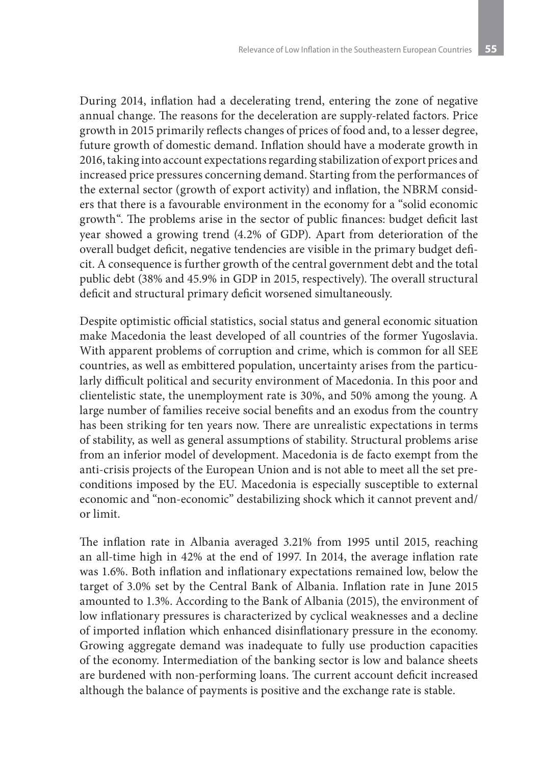During 2014, inflation had a decelerating trend, entering the zone of negative annual change. The reasons for the deceleration are supply-related factors. Price growth in 2015 primarily reflects changes of prices of food and, to a lesser degree, future growth of domestic demand. Inflation should have a moderate growth in 2016, taking into account expectations regarding stabilization of export prices and increased price pressures concerning demand. Starting from the performances of the external sector (growth of export activity) and inflation, the NBRM considers that there is a favourable environment in the economy for a "solid economic growth". The problems arise in the sector of public finances: budget deficit last year showed a growing trend (4.2% of GDP). Apart from deterioration of the overall budget deficit, negative tendencies are visible in the primary budget deficit. A consequence is further growth of the central government debt and the total public debt (38% and 45.9% in GDP in 2015, respectively). The overall structural deficit and structural primary deficit worsened simultaneously.

Despite optimistic official statistics, social status and general economic situation make Macedonia the least developed of all countries of the former Yugoslavia. With apparent problems of corruption and crime, which is common for all SEE countries, as well as embittered population, uncertainty arises from the particularly difficult political and security environment of Macedonia. In this poor and clientelistic state, the unemployment rate is 30%, and 50% among the young. A large number of families receive social benefits and an exodus from the country has been striking for ten years now. There are unrealistic expectations in terms of stability, as well as general assumptions of stability. Structural problems arise from an inferior model of development. Macedonia is de facto exempt from the anti-crisis projects of the European Union and is not able to meet all the set preconditions imposed by the EU. Macedonia is especially susceptible to external economic and "non-economic" destabilizing shock which it cannot prevent and/ or limit.

The inflation rate in Albania averaged 3.21% from 1995 until 2015, reaching an all-time high in 42% at the end of 1997. In 2014, the average inflation rate was 1.6%. Both inflation and inflationary expectations remained low, below the target of 3.0% set by the Central Bank of Albania. Inflation rate in June 2015 amounted to 1.3%. According to the Bank of Albania (2015), the environment of low inflationary pressures is characterized by cyclical weaknesses and a decline of imported inflation which enhanced disinflationary pressure in the economy. Growing aggregate demand was inadequate to fully use production capacities of the economy. Intermediation of the banking sector is low and balance sheets are burdened with non-performing loans. The current account deficit increased although the balance of payments is positive and the exchange rate is stable.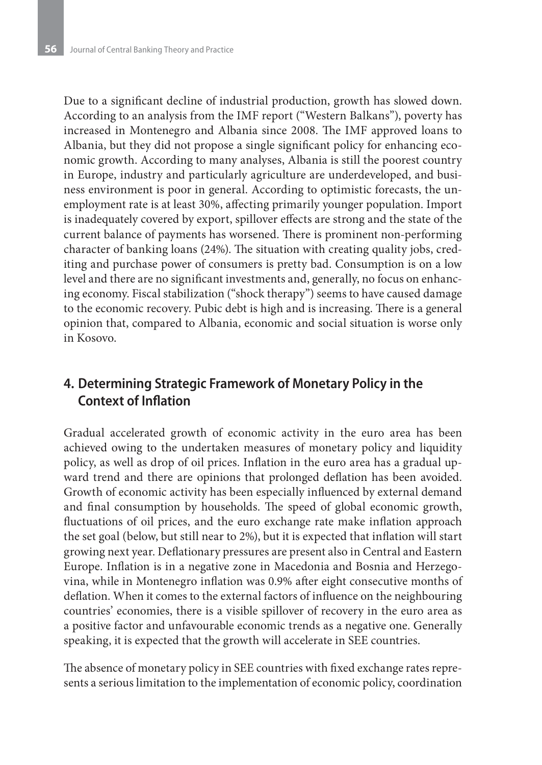Due to a significant decline of industrial production, growth has slowed down. According to an analysis from the IMF report ("Western Balkans"), poverty has increased in Montenegro and Albania since 2008. The IMF approved loans to Albania, but they did not propose a single significant policy for enhancing economic growth. According to many analyses, Albania is still the poorest country in Europe, industry and particularly agriculture are underdeveloped, and business environment is poor in general. According to optimistic forecasts, the unemployment rate is at least 30%, affecting primarily younger population. Import is inadequately covered by export, spillover effects are strong and the state of the current balance of payments has worsened. There is prominent non-performing character of banking loans (24%). The situation with creating quality jobs, crediting and purchase power of consumers is pretty bad. Consumption is on a low level and there are no significant investments and, generally, no focus on enhancing economy. Fiscal stabilization ("shock therapy") seems to have caused damage to the economic recovery. Pubic debt is high and is increasing. There is a general opinion that, compared to Albania, economic and social situation is worse only in Kosovo.

## **4. Determining Strategic Framework of Monetary Policy in the Context of Inflation**

Gradual accelerated growth of economic activity in the euro area has been achieved owing to the undertaken measures of monetary policy and liquidity policy, as well as drop of oil prices. Inflation in the euro area has a gradual upward trend and there are opinions that prolonged deflation has been avoided. Growth of economic activity has been especially influenced by external demand and final consumption by households. The speed of global economic growth, fluctuations of oil prices, and the euro exchange rate make inflation approach the set goal (below, but still near to 2%), but it is expected that inflation will start growing next year. Deflationary pressures are present also in Central and Eastern Europe. Inflation is in a negative zone in Macedonia and Bosnia and Herzegovina, while in Montenegro inflation was 0.9% after eight consecutive months of deflation. When it comes to the external factors of influence on the neighbouring countries' economies, there is a visible spillover of recovery in the euro area as a positive factor and unfavourable economic trends as a negative one. Generally speaking, it is expected that the growth will accelerate in SEE countries.

The absence of monetary policy in SEE countries with fixed exchange rates represents a serious limitation to the implementation of economic policy, coordination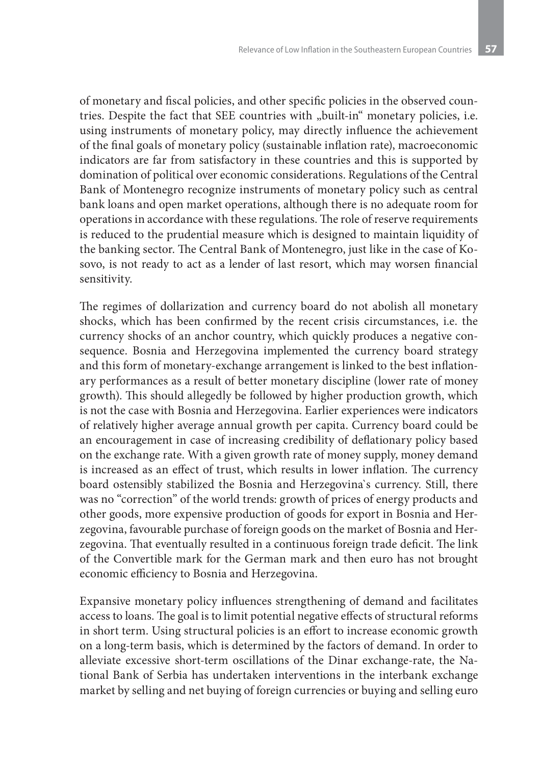of monetary and fiscal policies, and other specific policies in the observed countries. Despite the fact that SEE countries with "built-in" monetary policies, i.e. using instruments of monetary policy, may directly influence the achievement of the final goals of monetary policy (sustainable inflation rate), macroeconomic indicators are far from satisfactory in these countries and this is supported by domination of political over economic considerations. Regulations of the Central Bank of Montenegro recognize instruments of monetary policy such as central bank loans and open market operations, although there is no adequate room for operations in accordance with these regulations. The role of reserve requirements is reduced to the prudential measure which is designed to maintain liquidity of the banking sector. The Central Bank of Montenegro, just like in the case of Kosovo, is not ready to act as a lender of last resort, which may worsen financial sensitivity.

The regimes of dollarization and currency board do not abolish all monetary shocks, which has been confirmed by the recent crisis circumstances, i.e. the currency shocks of an anchor country, which quickly produces a negative consequence. Bosnia and Herzegovina implemented the currency board strategy and this form of monetary-exchange arrangement is linked to the best inflationary performances as a result of better monetary discipline (lower rate of money growth). This should allegedly be followed by higher production growth, which is not the case with Bosnia and Herzegovina. Earlier experiences were indicators of relatively higher average annual growth per capita. Currency board could be an encouragement in case of increasing credibility of deflationary policy based on the exchange rate. With a given growth rate of money supply, money demand is increased as an effect of trust, which results in lower inflation. The currency board ostensibly stabilized the Bosnia and Herzegovina`s currency. Still, there was no "correction" of the world trends: growth of prices of energy products and other goods, more expensive production of goods for export in Bosnia and Herzegovina, favourable purchase of foreign goods on the market of Bosnia and Herzegovina. That eventually resulted in a continuous foreign trade deficit. The link of the Convertible mark for the German mark and then euro has not brought economic efficiency to Bosnia and Herzegovina.

Expansive monetary policy influences strengthening of demand and facilitates access to loans. The goal is to limit potential negative effects of structural reforms in short term. Using structural policies is an effort to increase economic growth on a long-term basis, which is determined by the factors of demand. In order to alleviate excessive short-term oscillations of the Dinar exchange-rate, the National Bank of Serbia has undertaken interventions in the interbank exchange market by selling and net buying of foreign currencies or buying and selling euro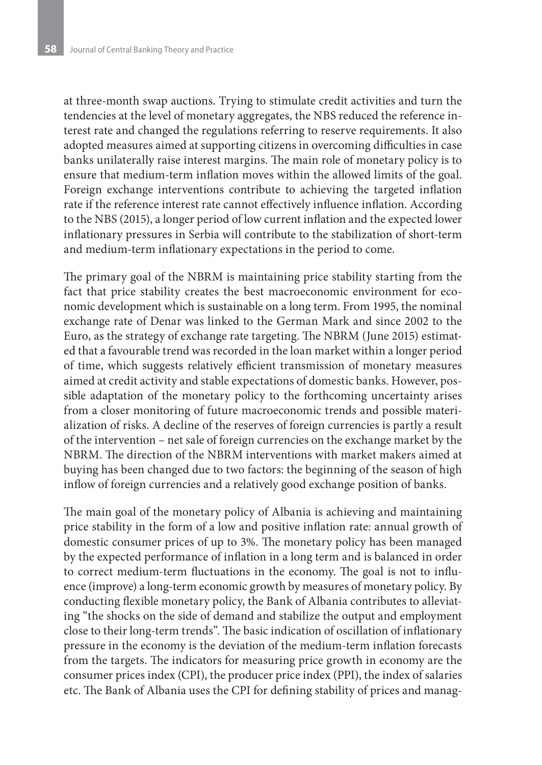at three-month swap auctions. Trying to stimulate credit activities and turn the tendencies at the level of monetary aggregates, the NBS reduced the reference interest rate and changed the regulations referring to reserve requirements. It also adopted measures aimed at supporting citizens in overcoming difficulties in case banks unilaterally raise interest margins. The main role of monetary policy is to ensure that medium-term inflation moves within the allowed limits of the goal. Foreign exchange interventions contribute to achieving the targeted inflation rate if the reference interest rate cannot effectively influence inflation. According to the NBS (2015), a longer period of low current inflation and the expected lower inflationary pressures in Serbia will contribute to the stabilization of short-term and medium-term inflationary expectations in the period to come.

The primary goal of the NBRM is maintaining price stability starting from the fact that price stability creates the best macroeconomic environment for economic development which is sustainable on a long term. From 1995, the nominal exchange rate of Denar was linked to the German Mark and since 2002 to the Euro, as the strategy of exchange rate targeting. The NBRM (June 2015) estimated that a favourable trend was recorded in the loan market within a longer period of time, which suggests relatively efficient transmission of monetary measures aimed at credit activity and stable expectations of domestic banks. However, possible adaptation of the monetary policy to the forthcoming uncertainty arises from a closer monitoring of future macroeconomic trends and possible materialization of risks. A decline of the reserves of foreign currencies is partly a result of the intervention – net sale of foreign currencies on the exchange market by the NBRM. The direction of the NBRM interventions with market makers aimed at buying has been changed due to two factors: the beginning of the season of high inflow of foreign currencies and a relatively good exchange position of banks.

The main goal of the monetary policy of Albania is achieving and maintaining price stability in the form of a low and positive inflation rate: annual growth of domestic consumer prices of up to 3%. The monetary policy has been managed by the expected performance of inflation in a long term and is balanced in order to correct medium-term fluctuations in the economy. The goal is not to influence (improve) a long-term economic growth by measures of monetary policy. By conducting flexible monetary policy, the Bank of Albania contributes to alleviating "the shocks on the side of demand and stabilize the output and employment close to their long-term trends". The basic indication of oscillation of inflationary pressure in the economy is the deviation of the medium-term inflation forecasts from the targets. The indicators for measuring price growth in economy are the consumer prices index (CPI), the producer price index (PPI), the index of salaries etc. The Bank of Albania uses the CPI for defining stability of prices and manag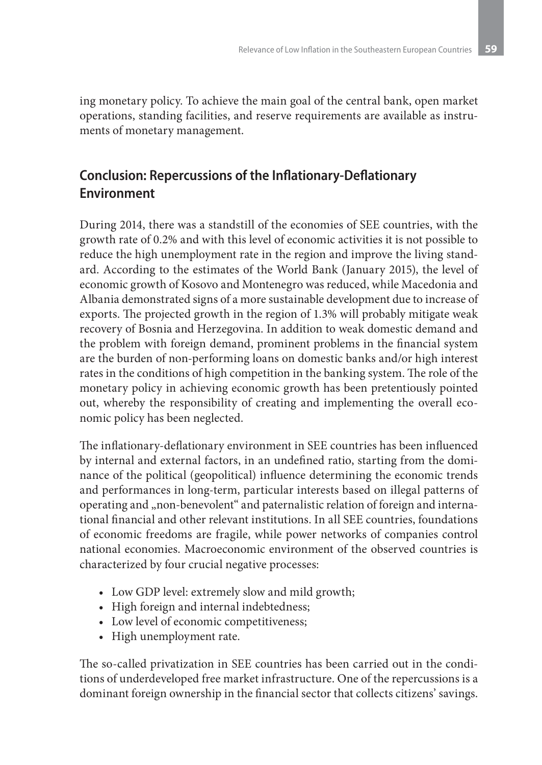ing monetary policy. To achieve the main goal of the central bank, open market operations, standing facilities, and reserve requirements are available as instruments of monetary management.

# **Conclusion: Repercussions of the Inflationary-Deflationary Environment**

During 2014, there was a standstill of the economies of SEE countries, with the growth rate of 0.2% and with this level of economic activities it is not possible to reduce the high unemployment rate in the region and improve the living standard. According to the estimates of the World Bank (January 2015), the level of economic growth of Kosovo and Montenegro was reduced, while Macedonia and Albania demonstrated signs of a more sustainable development due to increase of exports. The projected growth in the region of 1.3% will probably mitigate weak recovery of Bosnia and Herzegovina. In addition to weak domestic demand and the problem with foreign demand, prominent problems in the financial system are the burden of non-performing loans on domestic banks and/or high interest rates in the conditions of high competition in the banking system. The role of the monetary policy in achieving economic growth has been pretentiously pointed out, whereby the responsibility of creating and implementing the overall economic policy has been neglected.

The inflationary-deflationary environment in SEE countries has been influenced by internal and external factors, in an undefined ratio, starting from the dominance of the political (geopolitical) influence determining the economic trends and performances in long-term, particular interests based on illegal patterns of operating and "non-benevolent" and paternalistic relation of foreign and international financial and other relevant institutions. In all SEE countries, foundations of economic freedoms are fragile, while power networks of companies control national economies. Macroeconomic environment of the observed countries is characterized by four crucial negative processes:

- Low GDP level: extremely slow and mild growth;
- High foreign and internal indebtedness;
- Low level of economic competitiveness;
- High unemployment rate.

The so-called privatization in SEE countries has been carried out in the conditions of underdeveloped free market infrastructure. One of the repercussions is a dominant foreign ownership in the financial sector that collects citizens' savings.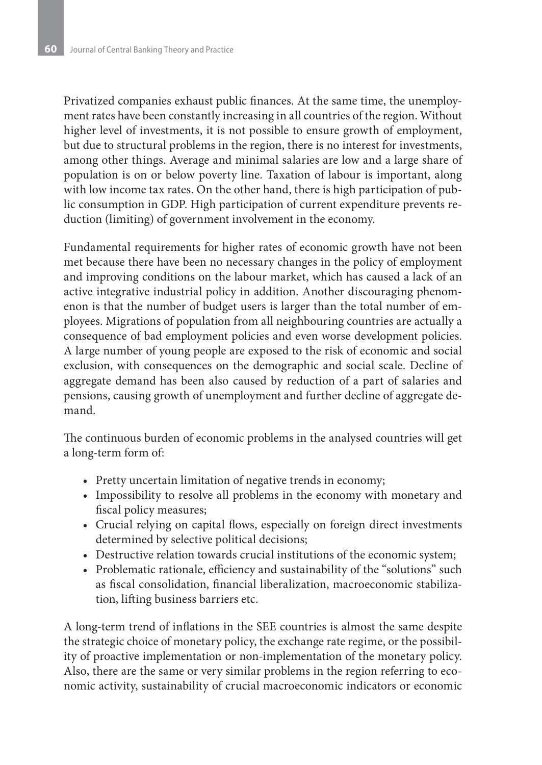Privatized companies exhaust public finances. At the same time, the unemployment rates have been constantly increasing in all countries of the region. Without higher level of investments, it is not possible to ensure growth of employment, but due to structural problems in the region, there is no interest for investments, among other things. Average and minimal salaries are low and a large share of population is on or below poverty line. Taxation of labour is important, along with low income tax rates. On the other hand, there is high participation of public consumption in GDP. High participation of current expenditure prevents reduction (limiting) of government involvement in the economy.

Fundamental requirements for higher rates of economic growth have not been met because there have been no necessary changes in the policy of employment and improving conditions on the labour market, which has caused a lack of an active integrative industrial policy in addition. Another discouraging phenomenon is that the number of budget users is larger than the total number of employees. Migrations of population from all neighbouring countries are actually a consequence of bad employment policies and even worse development policies. A large number of young people are exposed to the risk of economic and social exclusion, with consequences on the demographic and social scale. Decline of aggregate demand has been also caused by reduction of a part of salaries and pensions, causing growth of unemployment and further decline of aggregate demand.

The continuous burden of economic problems in the analysed countries will get a long-term form of:

- Pretty uncertain limitation of negative trends in economy;
- Impossibility to resolve all problems in the economy with monetary and fiscal policy measures;
- • Crucial relying on capital flows, especially on foreign direct investments determined by selective political decisions;
- Destructive relation towards crucial institutions of the economic system;
- Problematic rationale, efficiency and sustainability of the "solutions" such as fiscal consolidation, financial liberalization, macroeconomic stabilization, lifting business barriers etc.

A long-term trend of inflations in the SEE countries is almost the same despite the strategic choice of monetary policy, the exchange rate regime, or the possibility of proactive implementation or non-implementation of the monetary policy. Also, there are the same or very similar problems in the region referring to economic activity, sustainability of crucial macroeconomic indicators or economic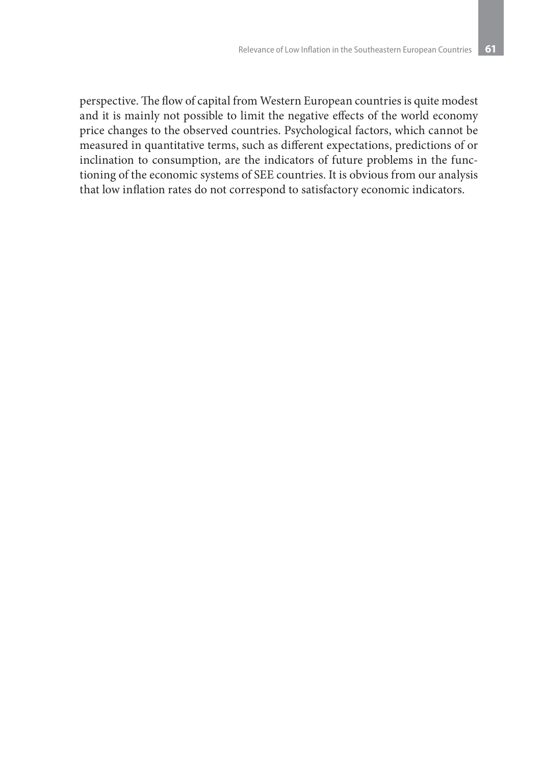perspective. The flow of capital from Western European countries is quite modest and it is mainly not possible to limit the negative effects of the world economy price changes to the observed countries. Psychological factors, which cannot be measured in quantitative terms, such as different expectations, predictions of or inclination to consumption, are the indicators of future problems in the functioning of the economic systems of SEE countries. It is obvious from our analysis that low inflation rates do not correspond to satisfactory economic indicators.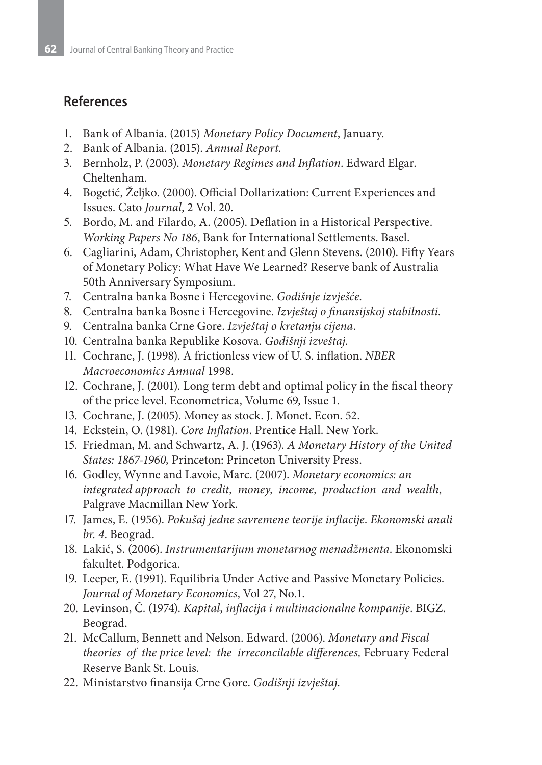### **References**

- 1. Bank of Albania. (2015) *Monetary Policy Document*, January.
- 2. Bank of Albania. (2015). *Annual Report*.
- 3. Bernholz, P. (2003). *Monetary Regimes and Inflation*. Edward Elgar. Cheltenham.
- 4. Bogetić, Željko. (2000). Official Dollarization: Current Experiences and Issues. Cato *Journal*, 2 Vol. 20.
- 5. Bordo, M. and Filardo, A. (2005). Deflation in a Historical Perspective. *Working Papers No 186*, Bank for International Settlements. Basel.
- 6. Cagliarini, Adam, Christopher, Kent and Glenn Stevens. (2010). Fifty Years of Monetary Policy: What Have We Learned? Reserve bank of Australia 50th Anniversary Symposium.
- 7. Centralna banka Bosne i Hercegovine. *Godišnje izvješće*.
- 8. Centralna banka Bosne i Hercegovine. *Izvještaj o finansijskoj stabilnosti*.
- 9. Centralna banka Crne Gore. *Izvještaj o kretanju cijena*.
- 10. Centralna banka Republike Kosova. *Godišnji izveštaj*.
- 11. Cochrane, J. (1998). A frictionless view of U. S. inflation. *NBER Macroeconomics Annual* 1998.
- 12. Cochrane, J. (2001). Long term debt and optimal policy in the fiscal theory of the price level. Econometrica, Volume 69, Issue 1.
- 13. Cochrane, J. (2005). Money as stock. J. Monet. Econ. 52.
- 14. Eckstein, O. (1981). *Core Inflation*. Prentice Hall. New York.
- 15. Friedman, M. and Schwartz, A. J. (1963). *A Monetary History of the United States: 1867-1960,* Princeton: Princeton University Press.
- 16. Godley, Wynne and Lavoie, Marc. (2007). *Monetary economics: an integrated approach to credit, money, income, production and wealth*, Palgrave Macmillan New York.
- 17. James, E. (1956). *Pokušaj jedne savremene teorije inflacije*. *Ekonomski anali br. 4*. Beograd.
- 18. Lakić, S. (2006). *Instrumentarijum monetarnog menadžmenta*. Ekonomski fakultet. Podgorica.
- 19. Leeper, E. (1991). Equilibria Under Active and Passive Monetary Policies. *Journal of Monetary Economics*, Vol 27, No.1.
- 20. Levinson, Č. (1974). *Kapital, inflacija i multinacionalne kompanije*. BIGZ. Beograd.
- 21. McCallum, Bennett and Nelson. Edward. (2006). *Monetary and Fiscal theories of the price level: the irreconcilable differences,* February Federal Reserve Bank St. Louis.
- 22. Ministarstvo finansija Crne Gore. *Godišnji izvještaj*.